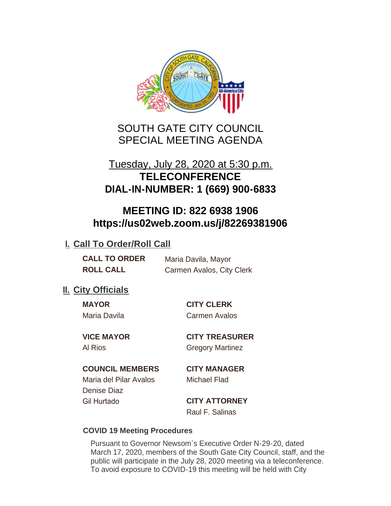

SOUTH GATE CITY COUNCIL SPECIAL MEETING AGENDA

# Tuesday, July 28, 2020 at 5:30 p.m. **TELECONFERENCE DIAL-IN-NUMBER: 1 (669) 900-6833**

# **MEETING ID: 822 6938 1906 https://us02web.zoom.us/j/82269381906**

## **I. Call To Order/Roll Call**

| <b>CALL TO ORDER</b> | Maria Davila, Mayor       |
|----------------------|---------------------------|
| <b>ROLL CALL</b>     | Carmen Avalos, City Clerk |

## **II.** City Officials

Maria Davila Carmen Avalos

**MAYOR CITY CLERK**

**VICE MAYOR CITY TREASURER** Al Rios Gregory Martinez

## **COUNCIL MEMBERS CITY MANAGER**

Maria del Pilar Avalos Michael Flad Denise Diaz Gil Hurtado **CITY ATTORNEY**

Raul F. Salinas

## **COVID 19 Meeting Procedures**

Pursuant to Governor Newsom's Executive Order N-29-20, dated March 17, 2020, members of the South Gate City Council, staff, and the public will participate in the July 28, 2020 meeting via a teleconference. To avoid exposure to COVID-19 this meeting will be held with City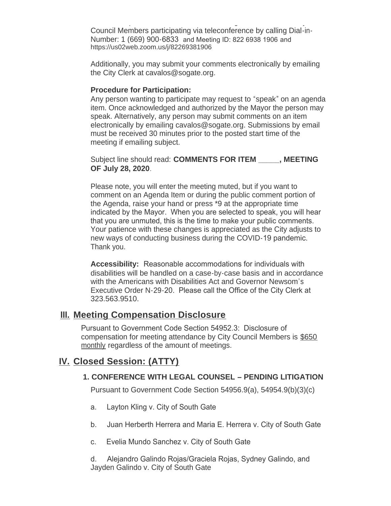To avoid exposure to COVID-19 this meeting will be held with City Council Members participating via teleconference by calling Dial-in-Number: 1 (669) 900-6833 and Meeting ID: 822 6938 1906 and https://us02web.zoom.us/j/82269381906

Additionally, you may submit your comments electronically by emailing the City Clerk at cavalos@sogate.org.

#### **Procedure for Participation:**

Any person wanting to participate may request to "speak" on an agenda item. Once acknowledged and authorized by the Mayor the person may speak. Alternatively, any person may submit comments on an item electronically by emailing cavalos@sogate.org. Submissions by email must be received 30 minutes prior to the posted start time of the meeting if emailing subject.

Subject line should read: **COMMENTS FOR ITEM \_\_\_\_\_, MEETING OF July 28, 2020**.

Please note, you will enter the meeting muted, but if you want to comment on an Agenda Item or during the public comment portion of the Agenda, raise your hand or press \*9 at the appropriate time indicated by the Mayor. When you are selected to speak, you will hear that you are unmuted, this is the time to make your public comments. Your patience with these changes is appreciated as the City adjusts to new ways of conducting business during the COVID-19 pandemic. Thank you.

**Accessibility:** Reasonable accommodations for individuals with disabilities will be handled on a case-by-case basis and in accordance with the Americans with Disabilities Act and Governor Newsom's Executive Order N-29-20. Please call the Office of the City Clerk at 323.563.9510.

## **Meeting Compensation Disclosure III.**

Pursuant to Government Code Section 54952.3: Disclosure of compensation for meeting attendance by City Council Members is \$650 monthly regardless of the amount of meetings.

## **Closed Session: (ATTY) IV.**

### **1. CONFERENCE WITH LEGAL COUNSEL – PENDING LITIGATION**

Pursuant to Government Code Section 54956.9(a), 54954.9(b)(3)(c)

- a. Layton Kling v. City of South Gate
- b. Juan Herberth Herrera and Maria E. Herrera v. City of South Gate
- c. Evelia Mundo Sanchez v. City of South Gate

d. Alejandro Galindo Rojas/Graciela Rojas, Sydney Galindo, and Jayden Galindo v. City of South Gate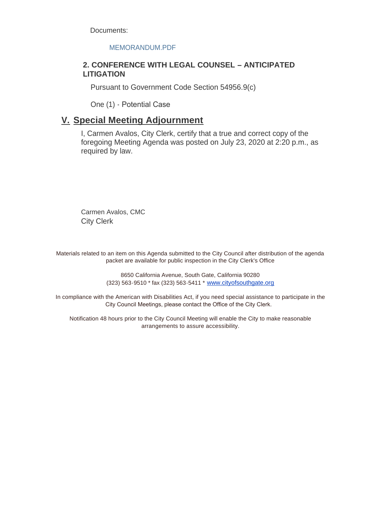Documents:

#### MEMORANDUM.PDF

#### **2. CONFERENCE WITH LEGAL COUNSEL – ANTICIPATED LITIGATION**

Pursuant to Government Code Section 54956.9(c)

One (1) - Potential Case

## **Special Meeting Adjournment V.**

I, Carmen Avalos, City Clerk, certify that a true and correct copy of the foregoing Meeting Agenda was posted on July 23, 2020 at 2:20 p.m., as required by law.

Carmen Avalos, CMC City Clerk

Materials related to an item on this Agenda submitted to the City Council after distribution of the agenda packet are available for public inspection in the City Clerk's Office

> 8650 California Avenue, South Gate, California 90280 (323) 563-9510 \* fax (323) 563-5411 \* [www.cityofsouthgate.org](http://www.cityofsouthgate.org/)

In compliance with the American with Disabilities Act, if you need special assistance to participate in the City Council Meetings, please contact the Office of the City Clerk.

Notification 48 hours prior to the City Council Meeting will enable the City to make reasonable arrangements to assure accessibility.